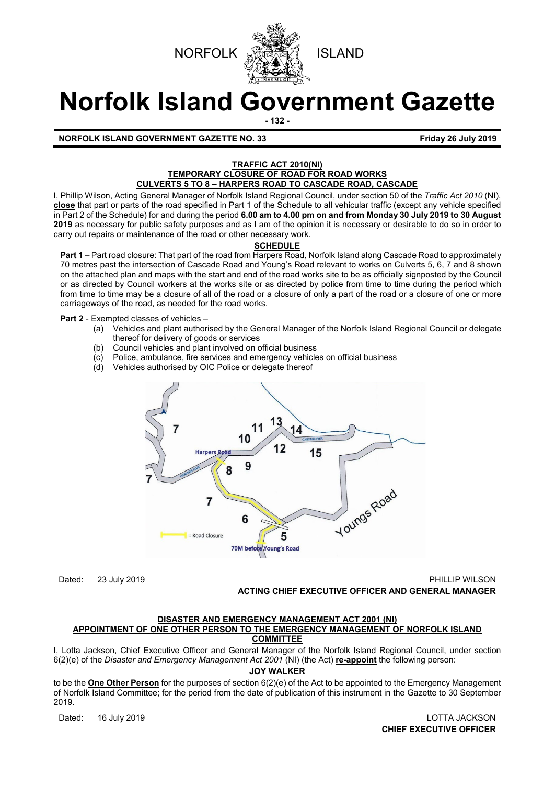



# **Norfolk Island Government Gazette**

**- 132 -**

**NORFOLK ISLAND GOVERNMENT GAZETTE NO. 33 Friday 26 July 2019** 

#### **TRAFFIC ACT 2010(NI) TEMPORARY CLOSURE OF ROAD FOR ROAD WORKS CULVERTS 5 TO 8 – HARPERS ROAD TO CASCADE ROAD, CASCADE**

I, Phillip Wilson, Acting General Manager of Norfolk Island Regional Council, under section 50 of the *Traffic Act 2010* (NI), **close** that part or parts of the road specified in Part 1 of the Schedule to all vehicular traffic (except any vehicle specified in Part 2 of the Schedule) for and during the period **6.00 am to 4.00 pm on and from Monday 30 July 2019 to 30 August 2019** as necessary for public safety purposes and as I am of the opinion it is necessary or desirable to do so in order to carry out repairs or maintenance of the road or other necessary work.

## **SCHEDULE**

**Part 1** – Part road closure: That part of the road from Harpers Road, Norfolk Island along Cascade Road to approximately 70 metres past the intersection of Cascade Road and Young's Road relevant to works on Culverts 5, 6, 7 and 8 shown on the attached plan and maps with the start and end of the road works site to be as officially signposted by the Council or as directed by Council workers at the works site or as directed by police from time to time during the period which from time to time may be a closure of all of the road or a closure of only a part of the road or a closure of one or more carriageways of the road, as needed for the road works.

## **Part 2** - Exempted classes of vehicles –

- (a) Vehicles and plant authorised by the General Manager of the Norfolk Island Regional Council or delegate thereof for delivery of goods or services
- (b) Council vehicles and plant involved on official business
- (c) Police, ambulance, fire services and emergency vehicles on official business (d) Vehicles authorised by OIC Police or delegate thereof
- Vehicles authorised by OIC Police or delegate thereof



Dated: 23 July 2019 PHILLIP WILSON **ACTING CHIEF EXECUTIVE OFFICER AND GENERAL MANAGER**

#### **DISASTER AND EMERGENCY MANAGEMENT ACT 2001 (NI) APPOINTMENT OF ONE OTHER PERSON TO THE EMERGENCY MANAGEMENT OF NORFOLK ISLAND COMMITTEE**

I, Lotta Jackson, Chief Executive Officer and General Manager of the Norfolk Island Regional Council, under section 6(2)(e) of the *Disaster and Emergency Management Act 2001* (NI) (the Act) **re-appoint** the following person:

## **JOY WALKER**

to be the **One Other Person** for the purposes of section 6(2)(e) of the Act to be appointed to the Emergency Management of Norfolk Island Committee; for the period from the date of publication of this instrument in the Gazette to 30 September 2019.

Dated: 16 July 2019 LOTTA JACKSON **CHIEF EXECUTIVE OFFICER**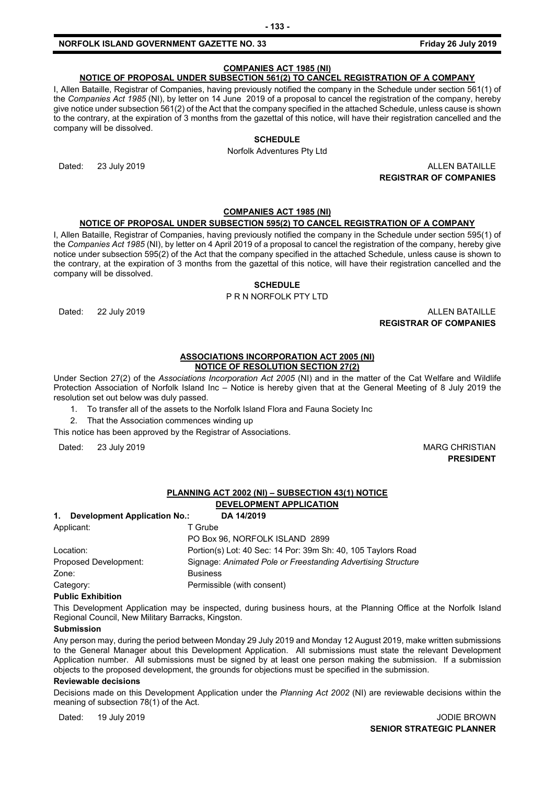# **COMPANIES ACT 1985 (NI)**

## **NOTICE OF PROPOSAL UNDER SUBSECTION 561(2) TO CANCEL REGISTRATION OF A COMPANY**

I, Allen Bataille, Registrar of Companies, having previously notified the company in the Schedule under section 561(1) of the *Companies Act 1985* (NI), by letter on 14 June 2019 of a proposal to cancel the registration of the company, hereby give notice under subsection 561(2) of the Act that the company specified in the attached Schedule, unless cause is shown to the contrary, at the expiration of 3 months from the gazettal of this notice, will have their registration cancelled and the company will be dissolved.

## **SCHEDULE**

Norfolk Adventures Pty Ltd

Dated: 23 July 2019 ALLEN BATAILLE **REGISTRAR OF COMPANIES**

#### **COMPANIES ACT 1985 (NI)**

#### **NOTICE OF PROPOSAL UNDER SUBSECTION 595(2) TO CANCEL REGISTRATION OF A COMPANY**

I, Allen Bataille, Registrar of Companies, having previously notified the company in the Schedule under section 595(1) of the *Companies Act 1985* (NI), by letter on 4 April 2019 of a proposal to cancel the registration of the company, hereby give notice under subsection 595(2) of the Act that the company specified in the attached Schedule, unless cause is shown to the contrary, at the expiration of 3 months from the gazettal of this notice, will have their registration cancelled and the company will be dissolved.

#### **SCHEDULE**

P R N NORFOLK PTY LTD

Dated: 22 July 2019 ALLEN BATAILLE

**REGISTRAR OF COMPANIES**

#### **ASSOCIATIONS INCORPORATION ACT 2005 (NI) NOTICE OF RESOLUTION SECTION 27(2)**

Under Section 27(2) of the *Associations Incorporation Act 2005* (NI) and in the matter of the Cat Welfare and Wildlife Protection Association of Norfolk Island Inc *–* Notice is hereby given that at the General Meeting of 8 July 2019 the resolution set out below was duly passed.

- 1. To transfer all of the assets to the Norfolk Island Flora and Fauna Society Inc
- 2. That the Association commences winding up

This notice has been approved by the Registrar of Associations.

Dated: 23 July 2019 MARG CHRISTIAN

**PRESIDENT**

#### **PLANNING ACT 2002 (NI) – SUBSECTION 43(1) NOTICE**

#### **DEVELOPMENT APPLICATION**

| Development Application No.:<br>1. | DA 14/2019                                                   |
|------------------------------------|--------------------------------------------------------------|
| Applicant:                         | T Grube                                                      |
|                                    | PO Box 96, NORFOLK ISLAND 2899                               |
| Location:                          | Portion(s) Lot: 40 Sec: 14 Por: 39m Sh: 40, 105 Taylors Road |
| Proposed Development:              | Signage: Animated Pole or Freestanding Advertising Structure |
| Zone:                              | <b>Business</b>                                              |
| Category:                          | Permissible (with consent)                                   |
| <b>Dublic Evhibition</b>           |                                                              |

#### **Public Exhibition**

This Development Application may be inspected, during business hours, at the Planning Office at the Norfolk Island Regional Council, New Military Barracks, Kingston.

#### **Submission**

Any person may, during the period between Monday 29 July 2019 and Monday 12 August 2019, make written submissions to the General Manager about this Development Application. All submissions must state the relevant Development Application number. All submissions must be signed by at least one person making the submission. If a submission objects to the proposed development, the grounds for objections must be specified in the submission.

#### **Reviewable decisions**

Decisions made on this Development Application under the *Planning Act 2002* (NI) are reviewable decisions within the meaning of subsection 78(1) of the Act.

Dated: 19 July 2019 **Dated: 19 July 2019**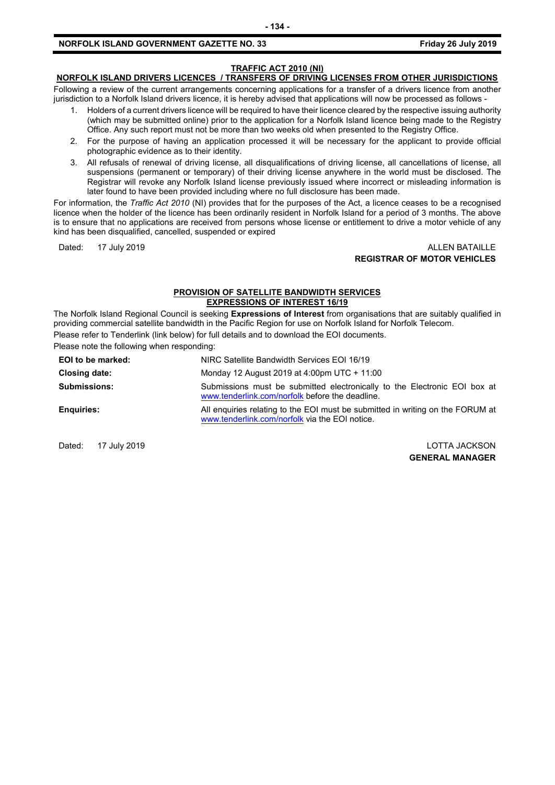## **TRAFFIC ACT 2010 (NI)**

# **NORFOLK ISLAND DRIVERS LICENCES / TRANSFERS OF DRIVING LICENSES FROM OTHER JURISDICTIONS**

Following a review of the current arrangements concerning applications for a transfer of a drivers licence from another jurisdiction to a Norfolk Island drivers licence, it is hereby advised that applications will now be processed as follows -

- 1. Holders of a current drivers licence will be required to have their licence cleared by the respective issuing authority (which may be submitted online) prior to the application for a Norfolk Island licence being made to the Registry Office. Any such report must not be more than two weeks old when presented to the Registry Office.
- 2. For the purpose of having an application processed it will be necessary for the applicant to provide official photographic evidence as to their identity.
- 3. All refusals of renewal of driving license, all disqualifications of driving license, all cancellations of license, all suspensions (permanent or temporary) of their driving license anywhere in the world must be disclosed. The Registrar will revoke any Norfolk Island license previously issued where incorrect or misleading information is later found to have been provided including where no full disclosure has been made.

For information, the *Traffic Act 2010* (NI) provides that for the purposes of the Act, a licence ceases to be a recognised licence when the holder of the licence has been ordinarily resident in Norfolk Island for a period of 3 months. The above is to ensure that no applications are received from persons whose license or entitlement to drive a motor vehicle of any kind has been disqualified, cancelled, suspended or expired

#### Dated: 17 July 2019 ALLEN BATAILLE **REGISTRAR OF MOTOR VEHICLES**

#### **PROVISION OF SATELLITE BANDWIDTH SERVICES EXPRESSIONS OF INTEREST 16/19**

The Norfolk Island Regional Council is seeking **Expressions of Interest** from organisations that are suitably qualified in providing commercial satellite bandwidth in the Pacific Region for use on Norfolk Island for Norfolk Telecom. Please refer to Tenderlink (link below) for full details and to download the EOI documents.

Please note the following when responding:

| EOI to be marked:   | NIRC Satellite Bandwidth Services EOI 16/19                                                                                      |
|---------------------|----------------------------------------------------------------------------------------------------------------------------------|
| Closing date:       | Monday 12 August 2019 at 4:00pm UTC + 11:00                                                                                      |
| <b>Submissions:</b> | Submissions must be submitted electronically to the Electronic EOI box at<br>www.tenderlink.com/norfolk before the deadline.     |
| <b>Enguiries:</b>   | All enquiries relating to the EOI must be submitted in writing on the FORUM at<br>www.tenderlink.com/norfolk via the EOI notice. |

Dated: 17 July 2019 LOTTA JACKSON **GENERAL MANAGER**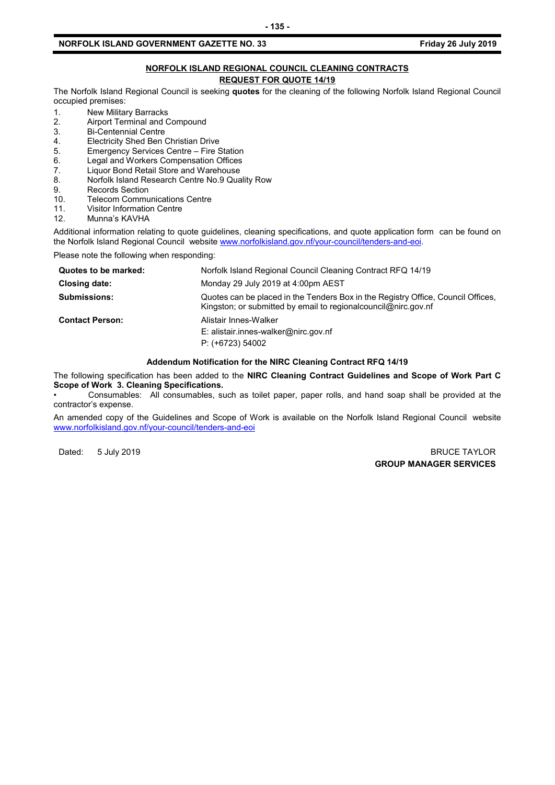#### **NORFOLK ISLAND REGIONAL COUNCIL CLEANING CONTRACTS REQUEST FOR QUOTE 14/19**

The Norfolk Island Regional Council is seeking **quotes** for the cleaning of the following Norfolk Island Regional Council occupied premises:

- 1. New Military Barracks<br>2. Airport Terminal and C
- 2. Airport Terminal and Compound<br>3. Bi-Centennial Centre
- 3. Bi-Centennial Centre<br>4. Electricity Shed Ben
- 4. Electricity Shed Ben Christian Drive<br>5. Emergency Services Centre Fire S
- 5. Emergency Services Centre Fire Station<br>6. Legal and Workers Compensation Offices
- 6. Legal and Workers Compensation Offices<br>7. Liguor Bond Retail Store and Warehouse
- 7. Liquor Bond Retail Store and Warehouse<br>8. Norfolk Island Research Centre No.9 Qua
- 8. Norfolk Island Research Centre No.9 Quality Row
- 9. Records Section<br>10. Telecom Commu
- 10. Telecom Communications Centre<br>11. Visitor Information Centre
- 11. Visitor Information Centre<br>12. Munna's KAVHA
- Munna's KAVHA

Additional information relating to quote guidelines, cleaning specifications, and quote application form can be found on the Norfolk Island Regional Council website [www.norfolkisland.gov.nf/your-council/tenders-and-eoi.](http://www.norfolkisland.gov.nf/your-council/tenders-and-eoi)

Please note the following when responding:

| Quotes to be marked:   | Norfolk Island Regional Council Cleaning Contract RFQ 14/19                                                                                          |
|------------------------|------------------------------------------------------------------------------------------------------------------------------------------------------|
| Closing date:          | Monday 29 July 2019 at 4:00pm AEST                                                                                                                   |
| <b>Submissions:</b>    | Quotes can be placed in the Tenders Box in the Registry Office, Council Offices,<br>Kingston; or submitted by email to regional council @nirc.gov.nf |
| <b>Contact Person:</b> | Alistair Innes-Walker<br>E: alistair.innes-walker@nirc.gov.nf<br>$P: (+6723) 54002$                                                                  |

## **Addendum Notification for the NIRC Cleaning Contract RFQ 14/19**

The following specification has been added to the **NIRC Cleaning Contract Guidelines and Scope of Work Part C Scope of Work 3. Cleaning Specifications.** 

• Consumables: All consumables, such as toilet paper, paper rolls, and hand soap shall be provided at the contractor's expense.

An amended copy of the Guidelines and Scope of Work is available on the Norfolk Island Regional Council website [www.norfolkisland.gov.nf/your-council/tenders-and-eoi](http://www.norfolkisland.gov.nf/your-council/tenders-and-eoi)

Dated: 5 July 2019 BRUCE TAYLOR **GROUP MANAGER SERVICES**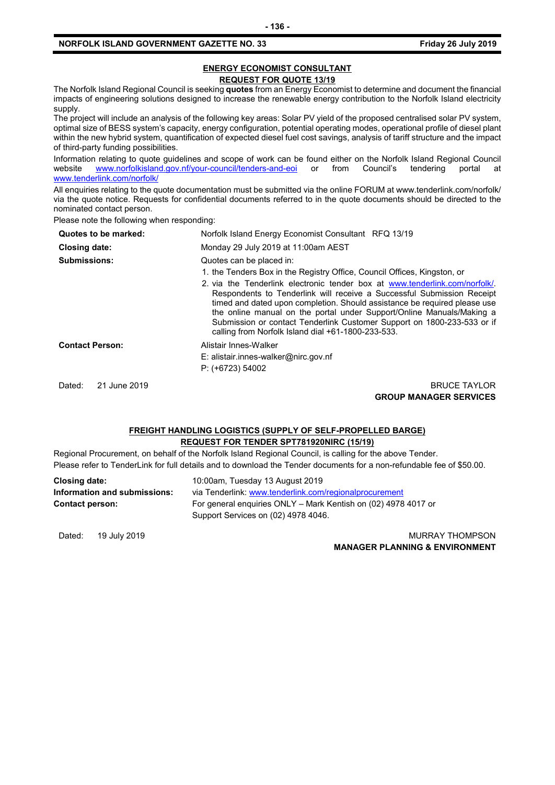#### **ENERGY ECONOMIST CONSULTANT REQUEST FOR QUOTE 13/19**

The Norfolk Island Regional Council is seeking **quotes** from an Energy Economist to determine and document the financial impacts of engineering solutions designed to increase the renewable energy contribution to the Norfolk Island electricity supply.

The project will include an analysis of the following key areas: Solar PV yield of the proposed centralised solar PV system, optimal size of BESS system's capacity, energy configuration, potential operating modes, operational profile of diesel plant within the new hybrid system, quantification of expected diesel fuel cost savings, analysis of tariff structure and the impact of third-party funding possibilities.

Information relating to quote guidelines and scope of work can be found either on the Norfolk Island Regional Council<br>website www.norfolkisland.gov.nf/your-council/tenders-and-eoi or from Council's tendering portal at [www.norfolkisland.gov.nf/your-council/tenders-and-eoi](http://www.norfolkisland.gov.nf/your-council/tenders-and-eoi) or from Council's tendering portal at [www.tenderlink.com/norfolk/](http://www.tenderlink.com/norfolk/)

All enquiries relating to the quote documentation must be submitted via the online FORUM at www.tenderlink.com/norfolk/ via the quote notice. Requests for confidential documents referred to in the quote documents should be directed to the nominated contact person.

Please note the following when responding:

| Quotes to be marked:   | Norfolk Island Energy Economist Consultant RFQ 13/19                                                                                                                                                                                                                                                                                                                                                                                        |
|------------------------|---------------------------------------------------------------------------------------------------------------------------------------------------------------------------------------------------------------------------------------------------------------------------------------------------------------------------------------------------------------------------------------------------------------------------------------------|
| <b>Closing date:</b>   | Monday 29 July 2019 at 11:00am AEST                                                                                                                                                                                                                                                                                                                                                                                                         |
| <b>Submissions:</b>    | Quotes can be placed in:                                                                                                                                                                                                                                                                                                                                                                                                                    |
|                        | 1. the Tenders Box in the Registry Office, Council Offices, Kingston, or                                                                                                                                                                                                                                                                                                                                                                    |
|                        | 2. via the Tenderlink electronic tender box at www.tenderlink.com/norfolk/<br>Respondents to Tenderlink will receive a Successful Submission Receipt<br>timed and dated upon completion. Should assistance be required please use<br>the online manual on the portal under Support/Online Manuals/Making a<br>Submission or contact Tenderlink Customer Support on 1800-233-533 or if<br>calling from Norfolk Island dial +61-1800-233-533. |
| <b>Contact Person:</b> | Alistair Innes-Walker                                                                                                                                                                                                                                                                                                                                                                                                                       |
|                        | $E:$ alistair.innes-walker@nirc.gov.nf                                                                                                                                                                                                                                                                                                                                                                                                      |
|                        | $P: (+6723) 54002$                                                                                                                                                                                                                                                                                                                                                                                                                          |
| 21 June 2019<br>Dated: | <b>BRUCE TAYLOR</b>                                                                                                                                                                                                                                                                                                                                                                                                                         |
|                        | <b>GROUP MANAGER SERVICES</b>                                                                                                                                                                                                                                                                                                                                                                                                               |

#### **FREIGHT HANDLING LOGISTICS (SUPPLY OF SELF-PROPELLED BARGE) REQUEST FOR TENDER SPT781920NIRC (15/19)**

Regional Procurement, on behalf of the Norfolk Island Regional Council, is calling for the above Tender. Please refer to TenderLink for full details and to download the Tender documents for a non-refundable fee of \$50.00.

| Closing date:                | 10:00am, Tuesday 13 August 2019                                |
|------------------------------|----------------------------------------------------------------|
| Information and submissions: | via Tenderlink: www.tenderlink.com/regionalprocurement         |
| <b>Contact person:</b>       | For general enguiries ONLY – Mark Kentish on (02) 4978 4017 or |
|                              | Support Services on (02) 4978 4046.                            |

Dated: 19 July 2019 **MURRAY THOMPSON MANAGER PLANNING & ENVIRONMENT**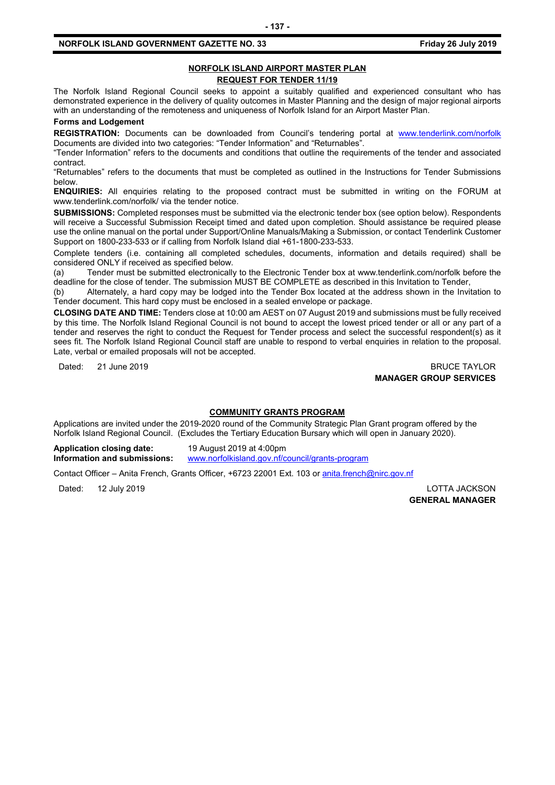## **NORFOLK ISLAND AIRPORT MASTER PLAN REQUEST FOR TENDER 11/19**

The Norfolk Island Regional Council seeks to appoint a suitably qualified and experienced consultant who has demonstrated experience in the delivery of quality outcomes in Master Planning and the design of major regional airports with an understanding of the remoteness and uniqueness of Norfolk Island for an Airport Master Plan.

**Forms and Lodgement**

**REGISTRATION:** Documents can be downloaded from Council's tendering portal at [www.tenderlink.com/norfolk](http://www.tenderlink.com/norfolk) Documents are divided into two categories: "Tender Information" and "Returnables".

"Tender Information" refers to the documents and conditions that outline the requirements of the tender and associated contract.

"Returnables" refers to the documents that must be completed as outlined in the Instructions for Tender Submissions below.

**ENQUIRIES:** All enquiries relating to the proposed contract must be submitted in writing on the FORUM at www.tenderlink.com/norfolk/ via the tender notice.

**SUBMISSIONS:** Completed responses must be submitted via the electronic tender box (see option below). Respondents will receive a Successful Submission Receipt timed and dated upon completion. Should assistance be required please use the online manual on the portal under Support/Online Manuals/Making a Submission, or contact Tenderlink Customer Support on 1800-233-533 or if calling from Norfolk Island dial +61-1800-233-533.

Complete tenders (i.e. containing all completed schedules, documents, information and details required) shall be considered ONLY if received as specified below.

(a) Tender must be submitted electronically to the Electronic Tender box at www.tenderlink.com/norfolk before the deadline for the close of tender. The submission MUST BE COMPLETE as described in this Invitation to Tender,

(b) Alternately, a hard copy may be lodged into the Tender Box located at the address shown in the Invitation to Tender document. This hard copy must be enclosed in a sealed envelope or package.

**CLOSING DATE AND TIME:** Tenders close at 10:00 am AEST on 07 August 2019 and submissions must be fully received by this time. The Norfolk Island Regional Council is not bound to accept the lowest priced tender or all or any part of a tender and reserves the right to conduct the Request for Tender process and select the successful respondent(s) as it sees fit. The Norfolk Island Regional Council staff are unable to respond to verbal enquiries in relation to the proposal. Late, verbal or emailed proposals will not be accepted.

Dated: 21 June 2019 **BRUCE TAYLOR MANAGER GROUP SERVICES**

#### **COMMUNITY GRANTS PROGRAM**

Applications are invited under the 2019-2020 round of the Community Strategic Plan Grant program offered by the Norfolk Island Regional Council. (Excludes the Tertiary Education Bursary which will open in January 2020).

**Application closing date:** 19 August 2019 at 4:00pm **Information and submissions:** [www.norfolkisland.gov.nf/council/grants-program](http://www.norfolkisland.gov.nf/council/grants-program)

Contact Officer – Anita French, Grants Officer, +6723 22001 Ext. 103 or [anita.french@nirc.gov.nf](mailto:anita.french@nirc.gov.nf)

Dated: 12 July 2019 LOTTA JACKSON **GENERAL MANAGER**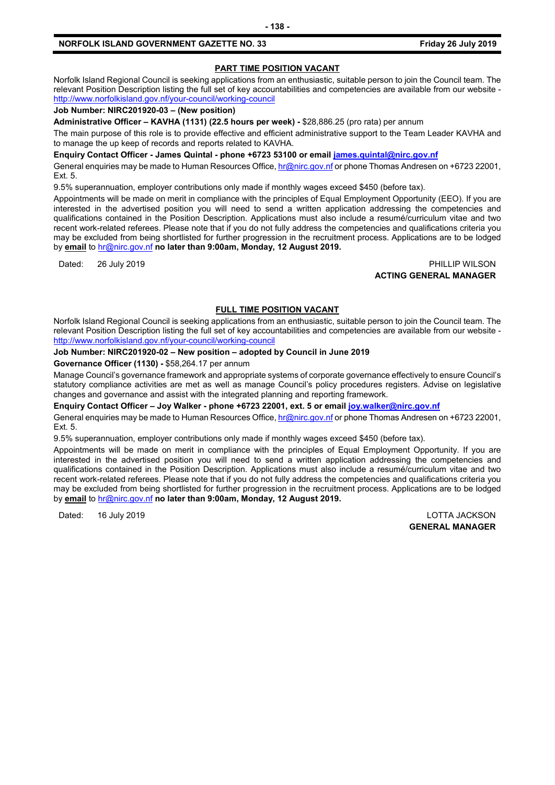## **PART TIME POSITION VACANT**

Norfolk Island Regional Council is seeking applications from an enthusiastic, suitable person to join the Council team. The relevant Position Description listing the full set of key accountabilities and competencies are available from our website <http://www.norfolkisland.gov.nf/your-council/working-council>

## **Job Number: NIRC201920-03 – (New position)**

**Administrative Officer – KAVHA (1131) (22.5 hours per week) -** \$28,886.25 (pro rata) per annum

The main purpose of this role is to provide effective and efficient administrative support to the Team Leader KAVHA and to manage the up keep of records and reports related to KAVHA.

**Enquiry Contact Officer - James Quintal - phone +6723 53100 or email [james.quintal@nirc.gov.nf](mailto:james.quintal@nirc.gov.nf)**

General enquiries may be made to Human Resources Office[, hr@nirc.gov.nf](mailto:hr@nirc.gov.nf) or phone Thomas Andresen on +6723 22001, Ext. 5.

9.5% superannuation, employer contributions only made if monthly wages exceed \$450 (before tax).

Appointments will be made on merit in compliance with the principles of Equal Employment Opportunity (EEO). If you are interested in the advertised position you will need to send a written application addressing the competencies and qualifications contained in the Position Description. Applications must also include a resumé/curriculum vitae and two recent work-related referees. Please note that if you do not fully address the competencies and qualifications criteria you may be excluded from being shortlisted for further progression in the recruitment process. Applications are to be lodged by **email** to [hr@nirc.gov.nf](mailto:hr@nirc.gov.nf) **no later than 9:00am, Monday, 12 August 2019.** 

#### Dated: 26 July 2019 PHILLIP WILSON **ACTING GENERAL MANAGER**

## **FULL TIME POSITION VACANT**

Norfolk Island Regional Council is seeking applications from an enthusiastic, suitable person to join the Council team. The relevant Position Description listing the full set of key accountabilities and competencies are available from our website <http://www.norfolkisland.gov.nf/your-council/working-council>

#### **Job Number: NIRC201920-02 – New position – adopted by Council in June 2019**

#### **Governance Officer (1130) -** \$58,264.17 per annum

Manage Council's governance framework and appropriate systems of corporate governance effectively to ensure Council's statutory compliance activities are met as well as manage Council's policy procedures registers. Advise on legislative changes and governance and assist with the integrated planning and reporting framework.

**Enquiry Contact Officer – Joy Walker - phone +6723 22001, ext. 5 or email [joy.walker@nirc.gov.nf](mailto:joy.walker@nirc.gov.nf)**

General enquiries may be made to Human Resources Office[, hr@nirc.gov.nf](mailto:hr@nirc.gov.nf) or phone Thomas Andresen on +6723 22001, Ext. 5.

9.5% superannuation, employer contributions only made if monthly wages exceed \$450 (before tax).

Appointments will be made on merit in compliance with the principles of Equal Employment Opportunity. If you are interested in the advertised position you will need to send a written application addressing the competencies and qualifications contained in the Position Description. Applications must also include a resumé/curriculum vitae and two recent work-related referees. Please note that if you do not fully address the competencies and qualifications criteria you may be excluded from being shortlisted for further progression in the recruitment process. Applications are to be lodged by **email** to [hr@nirc.gov.nf](mailto:hr@nirc.gov.nf) **no later than 9:00am, Monday, 12 August 2019.** 

Dated: 16 July 2019 LOTTA JACKSON

**GENERAL MANAGER**